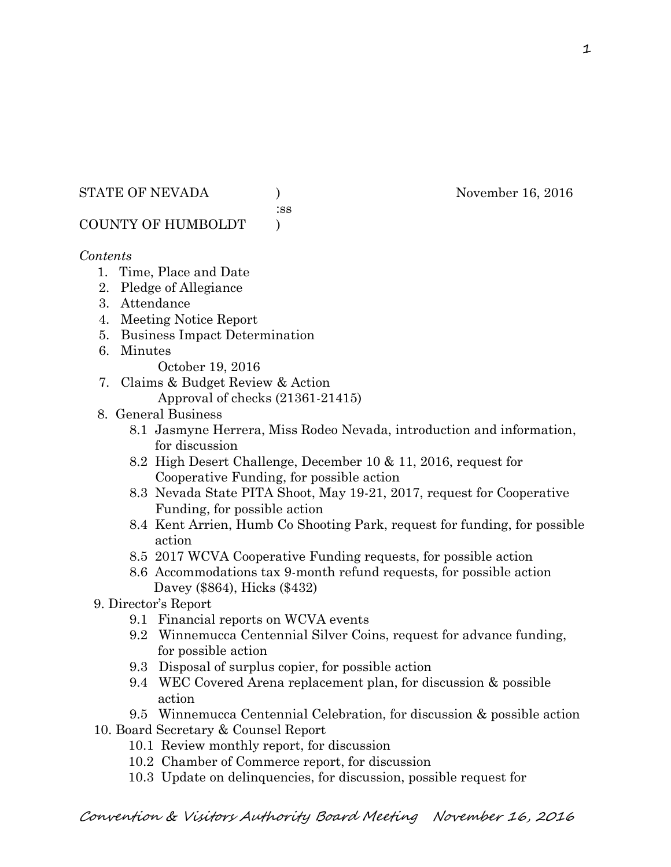## STATE OF NEVADA (a) (b) November 16, 2016

:ss

COUNTY OF HUMBOLDT )

# *Contents*

- 1. Time, Place and Date
- 2. Pledge of Allegiance
- 3. Attendance
- 4. Meeting Notice Report
- 5. Business Impact Determination
- 6. Minutes
	- October 19, 2016
- 7. Claims & Budget Review & Action
	- Approval of checks (21361-21415)
- 8. General Business
	- 8.1 Jasmyne Herrera, Miss Rodeo Nevada, introduction and information, for discussion
	- 8.2 High Desert Challenge, December 10 & 11, 2016, request for Cooperative Funding, for possible action
	- 8.3 Nevada State PITA Shoot, May 19-21, 2017, request for Cooperative Funding, for possible action
	- 8.4 Kent Arrien, Humb Co Shooting Park, request for funding, for possible action
	- 8.5 2017 WCVA Cooperative Funding requests, for possible action
	- 8.6 Accommodations tax 9-month refund requests, for possible action Davey (\$864), Hicks (\$432)
- 9. Director's Report
	- 9.1 Financial reports on WCVA events
	- 9.2 Winnemucca Centennial Silver Coins, request for advance funding, for possible action
	- 9.3 Disposal of surplus copier, for possible action
	- 9.4 WEC Covered Arena replacement plan, for discussion & possible action

 9.5 Winnemucca Centennial Celebration, for discussion & possible action 10. Board Secretary & Counsel Report

- 10.1 Review monthly report, for discussion
- 10.2 Chamber of Commerce report, for discussion
- 10.3 Update on delinquencies, for discussion, possible request for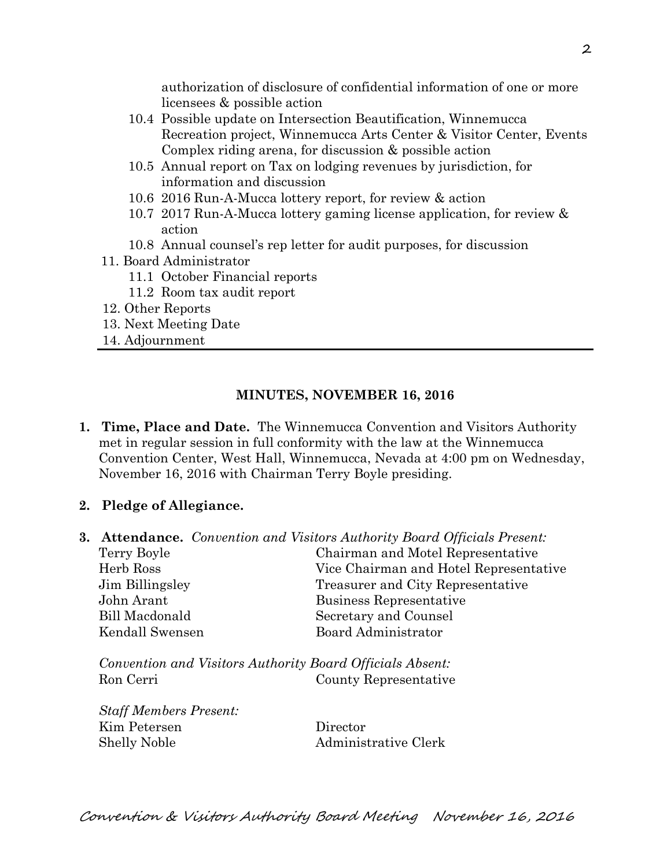authorization of disclosure of confidential information of one or more licensees & possible action

- 10.4 Possible update on Intersection Beautification, Winnemucca Recreation project, Winnemucca Arts Center & Visitor Center, Events Complex riding arena, for discussion & possible action
- 10.5 Annual report on Tax on lodging revenues by jurisdiction, for information and discussion
- 10.6 2016 Run-A-Mucca lottery report, for review & action
- 10.7 2017 Run-A-Mucca lottery gaming license application, for review & action
- 10.8 Annual counsel's rep letter for audit purposes, for discussion
- 11. Board Administrator
	- 11.1 October Financial reports
	- 11.2 Room tax audit report
- 12. Other Reports
- 13. Next Meeting Date
- 14. Adjournment

## **MINUTES, NOVEMBER 16, 2016**

- **1. Time, Place and Date.** The Winnemucca Convention and Visitors Authority met in regular session in full conformity with the law at the Winnemucca Convention Center, West Hall, Winnemucca, Nevada at 4:00 pm on Wednesday, November 16, 2016 with Chairman Terry Boyle presiding.
- **2. Pledge of Allegiance.**
- **3. Attendance.** *Convention and Visitors Authority Board Officials Present:*

| Terry Boyle     | Chairman and Motel Representative      |
|-----------------|----------------------------------------|
| Herb Ross       | Vice Chairman and Hotel Representative |
| Jim Billingsley | Treasurer and City Representative      |
| John Arant      | Business Representative                |
| Bill Macdonald  | Secretary and Counsel                  |
| Kendall Swensen | <b>Board Administrator</b>             |
|                 |                                        |
|                 |                                        |

*Convention and Visitors Authority Board Officials Absent:*  Ron Cerri County Representative

| <b>Staff Members Present:</b> |                      |
|-------------------------------|----------------------|
| Kim Petersen                  | Director             |
| <b>Shelly Noble</b>           | Administrative Clerk |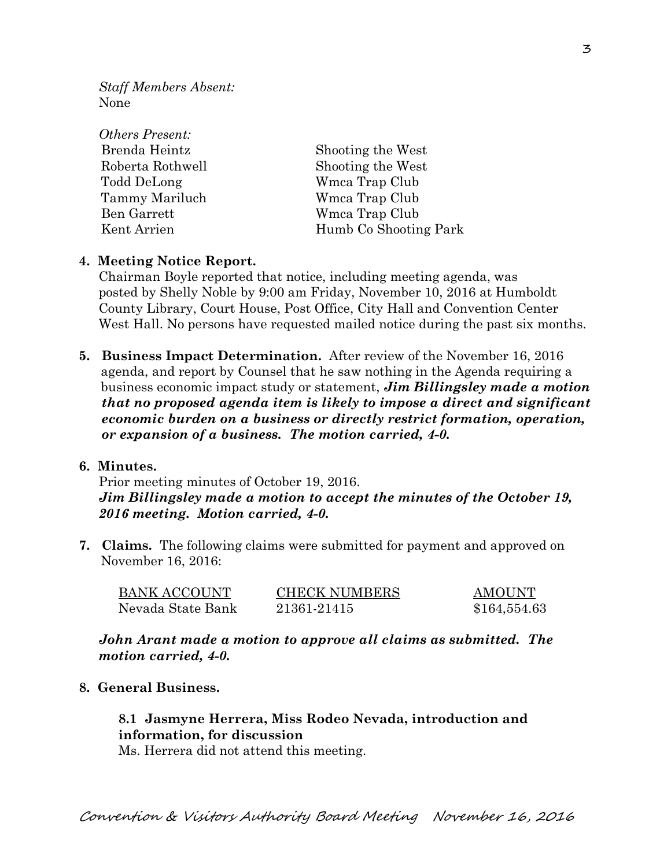*Staff Members Absent:*  None

| <i>Others Present:</i> |                       |
|------------------------|-----------------------|
| Brenda Heintz          | Shooting the West     |
| Roberta Rothwell       | Shooting the West     |
| Todd DeLong            | Wmca Trap Club        |
| Tammy Mariluch         | Wmca Trap Club        |
| Ben Garrett            | Wmca Trap Club        |
| Kent Arrien            | Humb Co Shooting Park |

### **4. Meeting Notice Report.**

Chairman Boyle reported that notice, including meeting agenda, was posted by Shelly Noble by 9:00 am Friday, November 10, 2016 at Humboldt County Library, Court House, Post Office, City Hall and Convention Center West Hall. No persons have requested mailed notice during the past six months.

**5. Business Impact Determination.** After review of the November 16, 2016 agenda, and report by Counsel that he saw nothing in the Agenda requiring a business economic impact study or statement, *Jim Billingsley made a motion that no proposed agenda item is likely to impose a direct and significant economic burden on a business or directly restrict formation, operation, or expansion of a business. The motion carried, 4-0.* 

### **6. Minutes.**

Prior meeting minutes of October 19, 2016. *Jim Billingsley made a motion to accept the minutes of the October 19, 2016 meeting. Motion carried, 4-0.* 

**7. Claims.** The following claims were submitted for payment and approved on November 16, 2016:

| BANK ACCOUNT      | <b>CHECK NUMBERS</b> | AMOUNT       |
|-------------------|----------------------|--------------|
| Nevada State Bank | 21361-21415          | \$164,554.63 |

*John Arant made a motion to approve all claims as submitted. The motion carried, 4-0.* 

## **8. General Business.**

# **8.1 Jasmyne Herrera, Miss Rodeo Nevada, introduction and information, for discussion**

Ms. Herrera did not attend this meeting.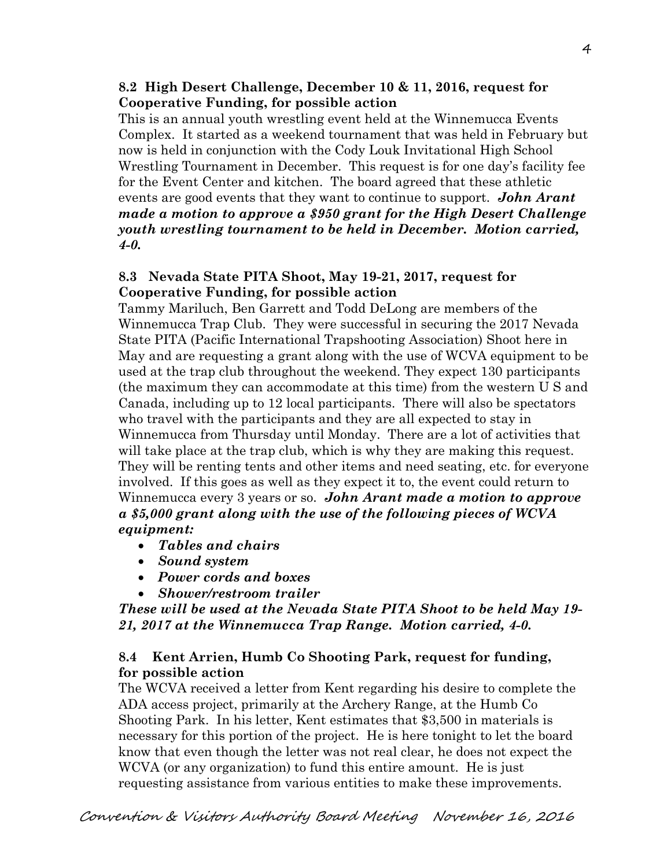## **8.2 High Desert Challenge, December 10 & 11, 2016, request for Cooperative Funding, for possible action**

This is an annual youth wrestling event held at the Winnemucca Events Complex. It started as a weekend tournament that was held in February but now is held in conjunction with the Cody Louk Invitational High School Wrestling Tournament in December. This request is for one day's facility fee for the Event Center and kitchen. The board agreed that these athletic events are good events that they want to continue to support. *John Arant made a motion to approve a \$950 grant for the High Desert Challenge youth wrestling tournament to be held in December. Motion carried, 4-0.* 

## **8.3 Nevada State PITA Shoot, May 19-21, 2017, request for Cooperative Funding, for possible action**

Tammy Mariluch, Ben Garrett and Todd DeLong are members of the Winnemucca Trap Club. They were successful in securing the 2017 Nevada State PITA (Pacific International Trapshooting Association) Shoot here in May and are requesting a grant along with the use of WCVA equipment to be used at the trap club throughout the weekend. They expect 130 participants (the maximum they can accommodate at this time) from the western U S and Canada, including up to 12 local participants. There will also be spectators who travel with the participants and they are all expected to stay in Winnemucca from Thursday until Monday. There are a lot of activities that will take place at the trap club, which is why they are making this request. They will be renting tents and other items and need seating, etc. for everyone involved. If this goes as well as they expect it to, the event could return to Winnemucca every 3 years or so. *John Arant made a motion to approve a \$5,000 grant along with the use of the following pieces of WCVA equipment:* 

- *Tables and chairs*
- *Sound system*
- *Power cords and boxes*
- *Shower/restroom trailer*

*These will be used at the Nevada State PITA Shoot to be held May 19- 21, 2017 at the Winnemucca Trap Range. Motion carried, 4-0.* 

# **8.4 Kent Arrien, Humb Co Shooting Park, request for funding, for possible action**

The WCVA received a letter from Kent regarding his desire to complete the ADA access project, primarily at the Archery Range, at the Humb Co Shooting Park. In his letter, Kent estimates that \$3,500 in materials is necessary for this portion of the project. He is here tonight to let the board know that even though the letter was not real clear, he does not expect the WCVA (or any organization) to fund this entire amount. He is just requesting assistance from various entities to make these improvements.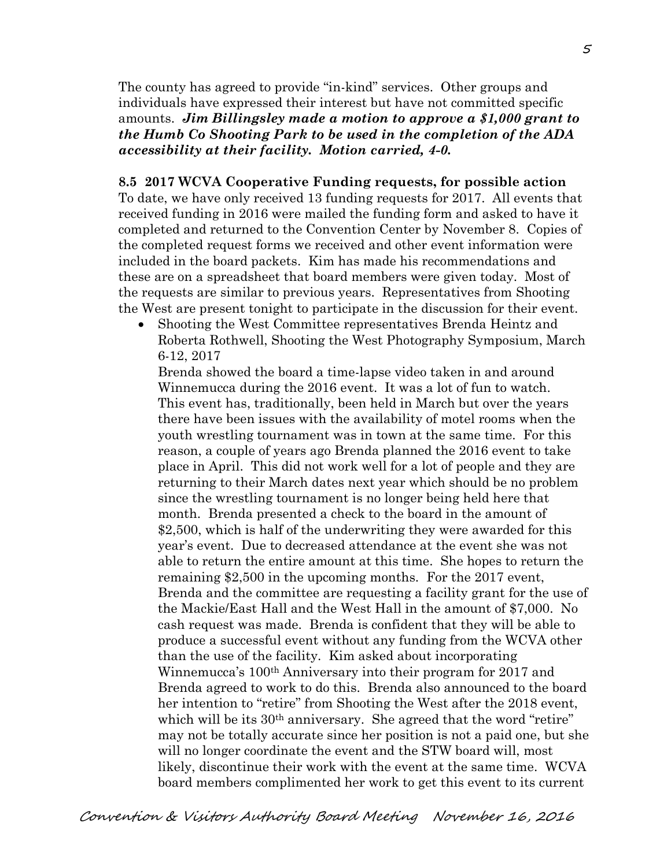The county has agreed to provide "in-kind" services. Other groups and individuals have expressed their interest but have not committed specific amounts. *Jim Billingsley made a motion to approve a \$1,000 grant to the Humb Co Shooting Park to be used in the completion of the ADA accessibility at their facility. Motion carried, 4-0.* 

#### **8.5 2017 WCVA Cooperative Funding requests, for possible action**

To date, we have only received 13 funding requests for 2017. All events that received funding in 2016 were mailed the funding form and asked to have it completed and returned to the Convention Center by November 8. Copies of the completed request forms we received and other event information were included in the board packets. Kim has made his recommendations and these are on a spreadsheet that board members were given today. Most of the requests are similar to previous years. Representatives from Shooting the West are present tonight to participate in the discussion for their event.

 Shooting the West Committee representatives Brenda Heintz and Roberta Rothwell, Shooting the West Photography Symposium, March 6-12, 2017

Brenda showed the board a time-lapse video taken in and around Winnemucca during the 2016 event. It was a lot of fun to watch. This event has, traditionally, been held in March but over the years there have been issues with the availability of motel rooms when the youth wrestling tournament was in town at the same time. For this reason, a couple of years ago Brenda planned the 2016 event to take place in April. This did not work well for a lot of people and they are returning to their March dates next year which should be no problem since the wrestling tournament is no longer being held here that month. Brenda presented a check to the board in the amount of \$2,500, which is half of the underwriting they were awarded for this year's event. Due to decreased attendance at the event she was not able to return the entire amount at this time. She hopes to return the remaining \$2,500 in the upcoming months. For the 2017 event, Brenda and the committee are requesting a facility grant for the use of the Mackie/East Hall and the West Hall in the amount of \$7,000. No cash request was made. Brenda is confident that they will be able to produce a successful event without any funding from the WCVA other than the use of the facility. Kim asked about incorporating Winnemucca's 100th Anniversary into their program for 2017 and Brenda agreed to work to do this. Brenda also announced to the board her intention to "retire" from Shooting the West after the 2018 event, which will be its 30<sup>th</sup> anniversary. She agreed that the word "retire" may not be totally accurate since her position is not a paid one, but she will no longer coordinate the event and the STW board will, most likely, discontinue their work with the event at the same time. WCVA board members complimented her work to get this event to its current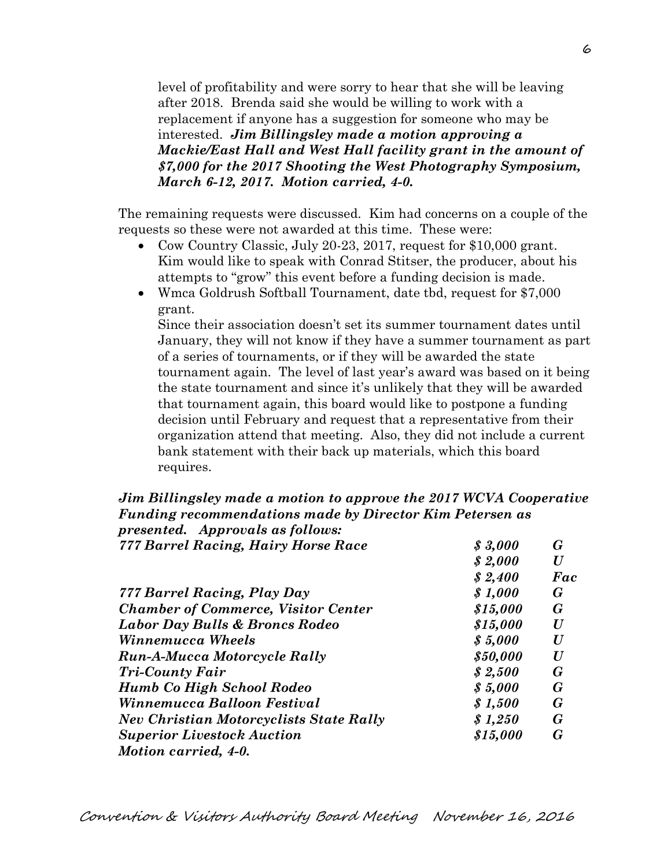level of profitability and were sorry to hear that she will be leaving after 2018. Brenda said she would be willing to work with a replacement if anyone has a suggestion for someone who may be interested. *Jim Billingsley made a motion approving a Mackie/East Hall and West Hall facility grant in the amount of \$7,000 for the 2017 Shooting the West Photography Symposium, March 6-12, 2017. Motion carried, 4-0.* 

The remaining requests were discussed. Kim had concerns on a couple of the requests so these were not awarded at this time. These were:

- Cow Country Classic, July 20-23, 2017, request for \$10,000 grant. Kim would like to speak with Conrad Stitser, the producer, about his attempts to "grow" this event before a funding decision is made.
- Wmca Goldrush Softball Tournament, date tbd, request for \$7,000 grant.

Since their association doesn't set its summer tournament dates until January, they will not know if they have a summer tournament as part of a series of tournaments, or if they will be awarded the state tournament again. The level of last year's award was based on it being the state tournament and since it's unlikely that they will be awarded that tournament again, this board would like to postpone a funding decision until February and request that a representative from their organization attend that meeting. Also, they did not include a current bank statement with their back up materials, which this board requires.

#### *Jim Billingsley made a motion to approve the 2017 WCVA Cooperative Funding recommendations made by Director Kim Petersen as presented. Approvals as follows:*

| presentea. Approvats as joitows:               |          |          |
|------------------------------------------------|----------|----------|
| 777 Barrel Racing, Hairy Horse Race            | \$3,000  | G        |
|                                                | \$2,000  | $\bm{U}$ |
|                                                | \$2,400  | Fac      |
| 777 Barrel Racing, Play Day                    | \$1,000  | G        |
| <b>Chamber of Commerce, Visitor Center</b>     | \$15,000 | G        |
| Labor Day Bulls & Broncs Rodeo                 | \$15,000 | $\bm{U}$ |
| Winnemucca Wheels                              | \$5,000  | $\bm{U}$ |
| <b>Run-A-Mucca Motorcycle Rally</b>            | \$50,000 | U        |
| <b>Tri-County Fair</b>                         | \$2,500  | G        |
| Humb Co High School Rodeo                      | \$5,000  | G        |
| Winnemucca Balloon Festival                    | \$1,500  | G        |
| <b>Nev Christian Motorcyclists State Rally</b> | \$1,250  | G        |
| <b>Superior Livestock Auction</b>              | \$15,000 | G        |
| Motion carried, 4-0.                           |          |          |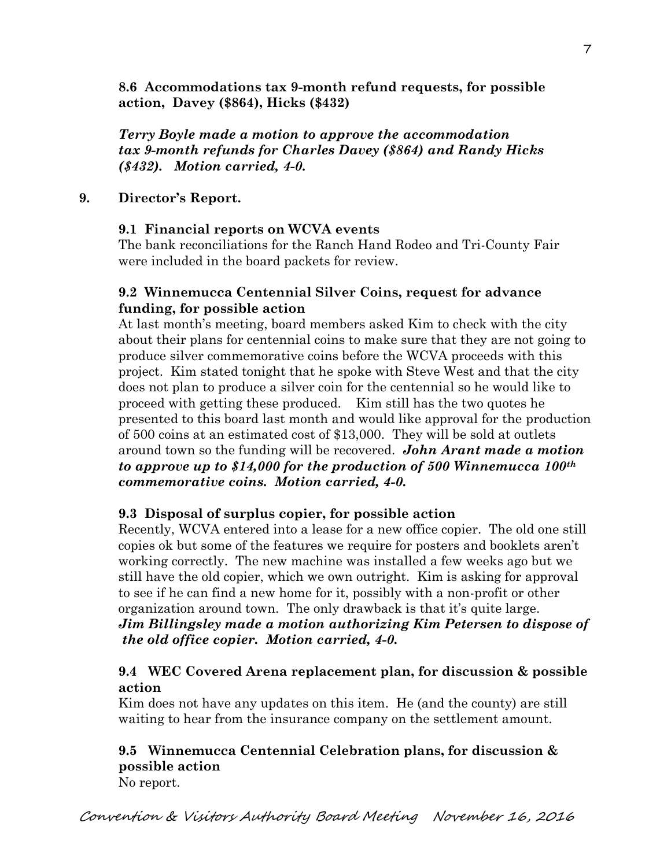**8.6 Accommodations tax 9-month refund requests, for possible action, Davey (\$864), Hicks (\$432)** 

*Terry Boyle made a motion to approve the accommodation tax 9-month refunds for Charles Davey (\$864) and Randy Hicks (\$432). Motion carried, 4-0.*

# **9. Director's Report.**

## **9.1 Financial reports on WCVA events**

The bank reconciliations for the Ranch Hand Rodeo and Tri-County Fair were included in the board packets for review.

# **9.2 Winnemucca Centennial Silver Coins, request for advance funding, for possible action**

At last month's meeting, board members asked Kim to check with the city about their plans for centennial coins to make sure that they are not going to produce silver commemorative coins before the WCVA proceeds with this project. Kim stated tonight that he spoke with Steve West and that the city does not plan to produce a silver coin for the centennial so he would like to proceed with getting these produced. Kim still has the two quotes he presented to this board last month and would like approval for the production of 500 coins at an estimated cost of \$13,000. They will be sold at outlets around town so the funding will be recovered. *John Arant made a motion to approve up to \$14,000 for the production of 500 Winnemucca 100th commemorative coins. Motion carried, 4-0.*

# **9.3 Disposal of surplus copier, for possible action**

Recently, WCVA entered into a lease for a new office copier. The old one still copies ok but some of the features we require for posters and booklets aren't working correctly. The new machine was installed a few weeks ago but we still have the old copier, which we own outright. Kim is asking for approval to see if he can find a new home for it, possibly with a non-profit or other organization around town. The only drawback is that it's quite large. *Jim Billingsley made a motion authorizing Kim Petersen to dispose of the old office copier. Motion carried, 4-0.* 

# **9.4 WEC Covered Arena replacement plan, for discussion & possible action**

Kim does not have any updates on this item. He (and the county) are still waiting to hear from the insurance company on the settlement amount.

# **9.5 Winnemucca Centennial Celebration plans, for discussion & possible action**

No report.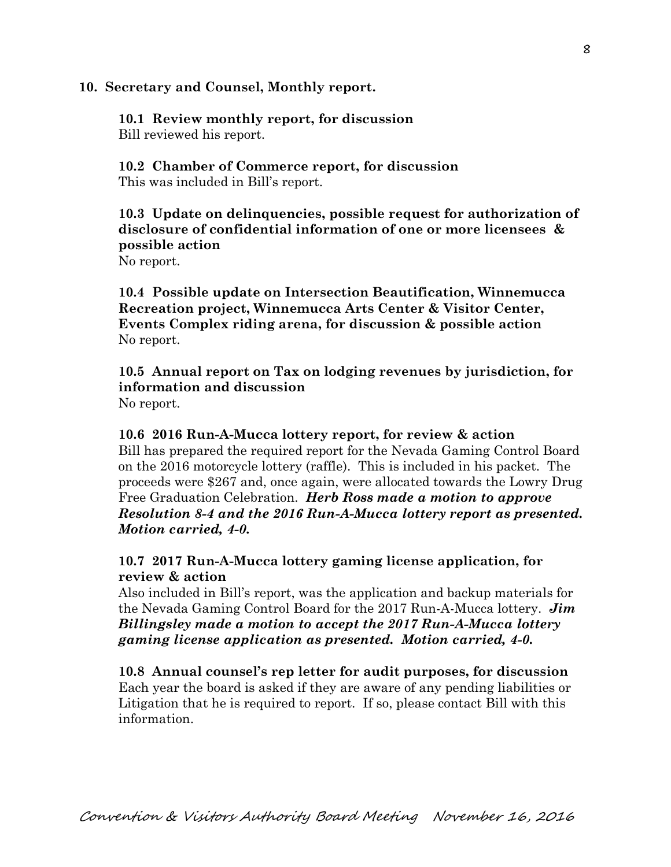### **10. Secretary and Counsel, Monthly report.**

**10.1 Review monthly report, for discussion**  Bill reviewed his report.

**10.2 Chamber of Commerce report, for discussion**  This was included in Bill's report.

**10.3 Update on delinquencies, possible request for authorization of disclosure of confidential information of one or more licensees & possible action** 

No report.

**10.4 Possible update on Intersection Beautification, Winnemucca Recreation project, Winnemucca Arts Center & Visitor Center, Events Complex riding arena, for discussion & possible action**  No report.

**10.5 Annual report on Tax on lodging revenues by jurisdiction, for information and discussion**  No report.

**10.6 2016 Run-A-Mucca lottery report, for review & action**  Bill has prepared the required report for the Nevada Gaming Control Board on the 2016 motorcycle lottery (raffle). This is included in his packet. The proceeds were \$267 and, once again, were allocated towards the Lowry Drug Free Graduation Celebration. *Herb Ross made a motion to approve Resolution 8-4 and the 2016 Run-A-Mucca lottery report as presented. Motion carried, 4-0.* 

## **10.7 2017 Run-A-Mucca lottery gaming license application, for review & action**

Also included in Bill's report, was the application and backup materials for the Nevada Gaming Control Board for the 2017 Run-A-Mucca lottery. *Jim Billingsley made a motion to accept the 2017 Run-A-Mucca lottery gaming license application as presented. Motion carried, 4-0.* 

**10.8 Annual counsel's rep letter for audit purposes, for discussion** Each year the board is asked if they are aware of any pending liabilities or Litigation that he is required to report. If so, please contact Bill with this information.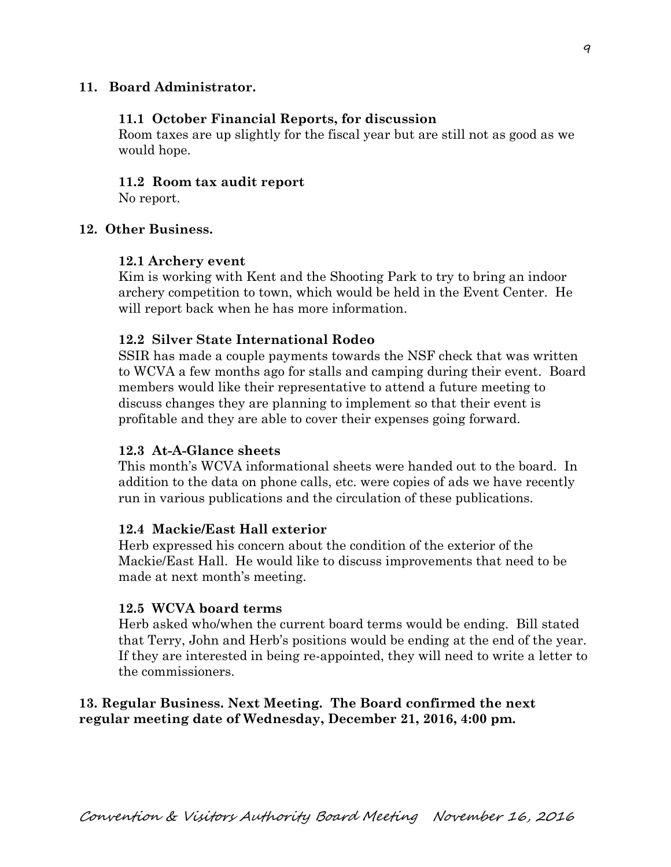## **11. Board Administrator.**

### **11.1 October Financial Reports, for discussion**

Room taxes are up slightly for the fiscal year but are still not as good as we would hope.

#### **11.2 Room tax audit report**

No report.

## **12. Other Business.**

#### **12.1 Archery event**

Kim is working with Kent and the Shooting Park to try to bring an indoor archery competition to town, which would be held in the Event Center. He will report back when he has more information.

#### **12.2 Silver State International Rodeo**

SSIR has made a couple payments towards the NSF check that was written to WCVA a few months ago for stalls and camping during their event. Board members would like their representative to attend a future meeting to discuss changes they are planning to implement so that their event is profitable and they are able to cover their expenses going forward.

## **12.3 At-A-Glance sheets**

This month's WCVA informational sheets were handed out to the board. In addition to the data on phone calls, etc. were copies of ads we have recently run in various publications and the circulation of these publications.

#### **12.4 Mackie/East Hall exterior**

Herb expressed his concern about the condition of the exterior of the Mackie/East Hall. He would like to discuss improvements that need to be made at next month's meeting.

### **12.5 WCVA board terms**

Herb asked who/when the current board terms would be ending. Bill stated that Terry, John and Herb's positions would be ending at the end of the year. If they are interested in being re-appointed, they will need to write a letter to the commissioners.

## **13. Regular Business. Next Meeting. The Board confirmed the next regular meeting date of Wednesday, December 21, 2016, 4:00 pm.**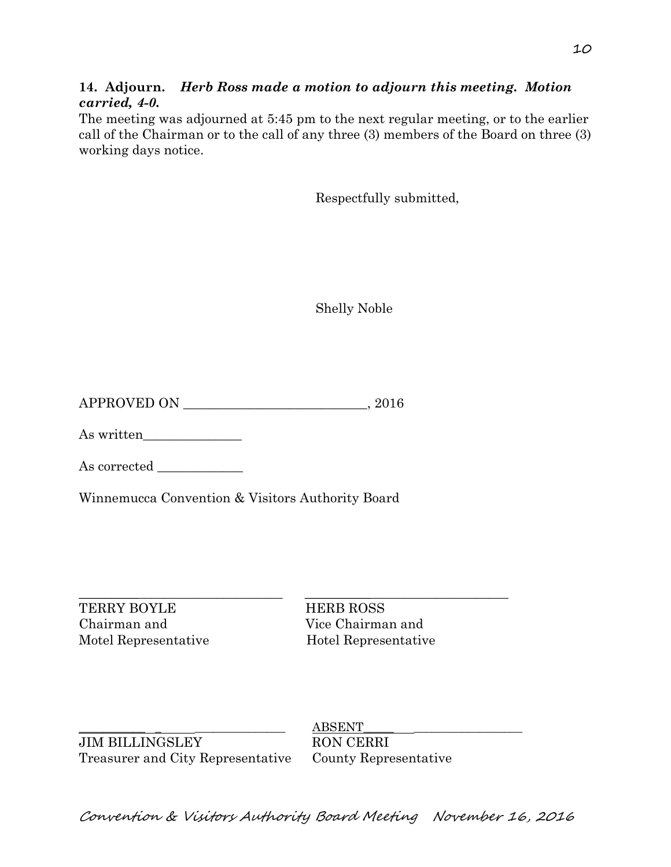**14. Adjourn.** *Herb Ross made a motion to adjourn this meeting. Motion carried, 4-0.*

The meeting was adjourned at 5:45 pm to the next regular meeting, or to the earlier call of the Chairman or to the call of any three (3) members of the Board on three (3) working days notice.

Respectfully submitted,

Shelly Noble

APPROVED ON \_\_\_\_\_\_\_\_\_\_\_\_\_\_\_\_\_\_\_\_\_\_\_\_\_\_\_\_, 2016

As written\_\_\_\_\_\_\_\_\_\_\_\_\_\_\_

As corrected

Winnemucca Convention & Visitors Authority Board

TERRY BOYLE HERB ROSS Chairman and Vice Chairman and Motel Representative Hotel Representative

 $\_$  , and the set of the set of the set of the set of the set of the set of the set of the set of the set of the set of the set of the set of the set of the set of the set of the set of the set of the set of the set of th

JIM BILLINGSLEY RON CERRI Treasurer and City Representative County Representative

\_\_\_\_\_\_\_\_\_\_\_ \_ \_\_\_\_\_\_\_\_\_\_\_\_\_\_\_ ABSENT\_\_\_\_\_ \_\_\_\_\_\_\_\_\_\_\_\_\_\_\_\_\_\_